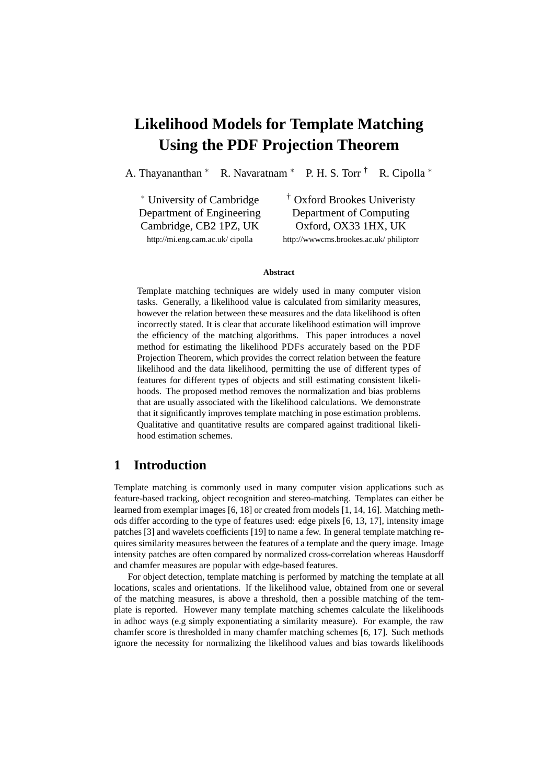# **Likelihood Models for Template Matching Using the PDF Projection Theorem**

A. Thayananthan <sup>∗</sup> R. Navaratnam <sup>∗</sup> P. H. S. Torr † R. Cipolla <sup>∗</sup>

<sup>∗</sup> University of Cambridge † Oxford Brookes Univeristy Cambridge, CB2 1PZ, UK Oxford, OX33 1HX, UK

Department of Engineering Department of Computing

http://mi.eng.cam.ac.uk/ cipolla http://wwwcms.brookes.ac.uk/ philiptorr

#### **Abstract**

Template matching techniques are widely used in many computer vision tasks. Generally, a likelihood value is calculated from similarity measures, however the relation between these measures and the data likelihood is often incorrectly stated. It is clear that accurate likelihood estimation will improve the efficiency of the matching algorithms. This paper introduces a novel method for estimating the likelihood PDFS accurately based on the PDF Projection Theorem, which provides the correct relation between the feature likelihood and the data likelihood, permitting the use of different types of features for different types of objects and still estimating consistent likelihoods. The proposed method removes the normalization and bias problems that are usually associated with the likelihood calculations. We demonstrate that it significantly improves template matching in pose estimation problems. Qualitative and quantitative results are compared against traditional likelihood estimation schemes.

# **1 Introduction**

Template matching is commonly used in many computer vision applications such as feature-based tracking, object recognition and stereo-matching. Templates can either be learned from exemplar images [6, 18] or created from models [1, 14, 16]. Matching methods differ according to the type of features used: edge pixels [6, 13, 17], intensity image patches [3] and wavelets coefficients [19] to name a few. In general template matching requires similarity measures between the features of a template and the query image. Image intensity patches are often compared by normalized cross-correlation whereas Hausdorff and chamfer measures are popular with edge-based features.

For object detection, template matching is performed by matching the template at all locations, scales and orientations. If the likelihood value, obtained from one or several of the matching measures, is above a threshold, then a possible matching of the template is reported. However many template matching schemes calculate the likelihoods in adhoc ways (e.g simply exponentiating a similarity measure). For example, the raw chamfer score is thresholded in many chamfer matching schemes [6, 17]. Such methods ignore the necessity for normalizing the likelihood values and bias towards likelihoods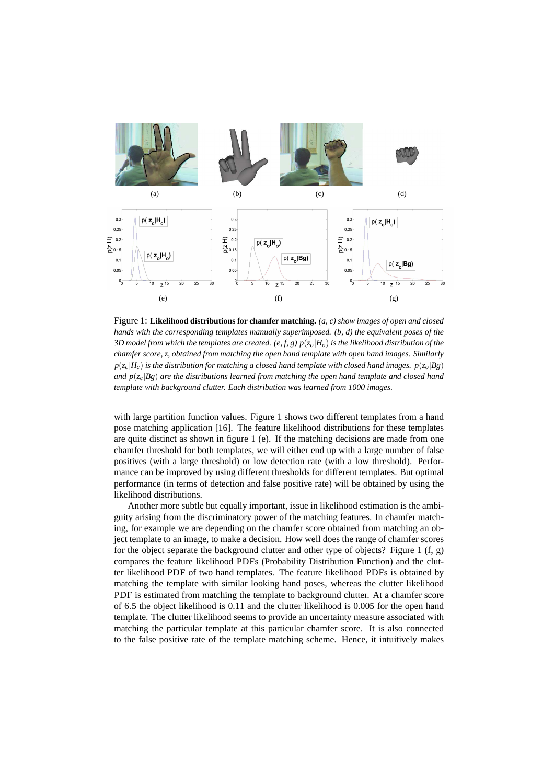

Figure 1: **Likelihood distributions for chamfer matching.** *(a, c) show images of open and closed hands with the corresponding templates manually superimposed. (b, d) the equivalent poses of the 3D model from which the templates are created.* (e, f, g)  $p(z_0|H_0)$  *is the likelihood distribution of the chamfer score, z, obtained from matching the open hand template with open hand images. Similarly*  $p(z_c|H_c)$  *is the distribution for matching a closed hand template with closed hand images.*  $p(z_o|Bg)$ *and p*(*zc*|*Bg*) *are the distributions learned from matching the open hand template and closed hand template with background clutter. Each distribution was learned from 1000 images.*

with large partition function values. Figure 1 shows two different templates from a hand pose matching application [16]. The feature likelihood distributions for these templates are quite distinct as shown in figure 1 (e). If the matching decisions are made from one chamfer threshold for both templates, we will either end up with a large number of false positives (with a large threshold) or low detection rate (with a low threshold). Performance can be improved by using different thresholds for different templates. But optimal performance (in terms of detection and false positive rate) will be obtained by using the likelihood distributions.

Another more subtle but equally important, issue in likelihood estimation is the ambiguity arising from the discriminatory power of the matching features. In chamfer matching, for example we are depending on the chamfer score obtained from matching an object template to an image, to make a decision. How well does the range of chamfer scores for the object separate the background clutter and other type of objects? Figure 1  $(f, g)$ compares the feature likelihood PDFs (Probability Distribution Function) and the clutter likelihood PDF of two hand templates. The feature likelihood PDFs is obtained by matching the template with similar looking hand poses, whereas the clutter likelihood PDF is estimated from matching the template to background clutter. At a chamfer score of 6.5 the object likelihood is 0.11 and the clutter likelihood is 0.005 for the open hand template. The clutter likelihood seems to provide an uncertainty measure associated with matching the particular template at this particular chamfer score. It is also connected to the false positive rate of the template matching scheme. Hence, it intuitively makes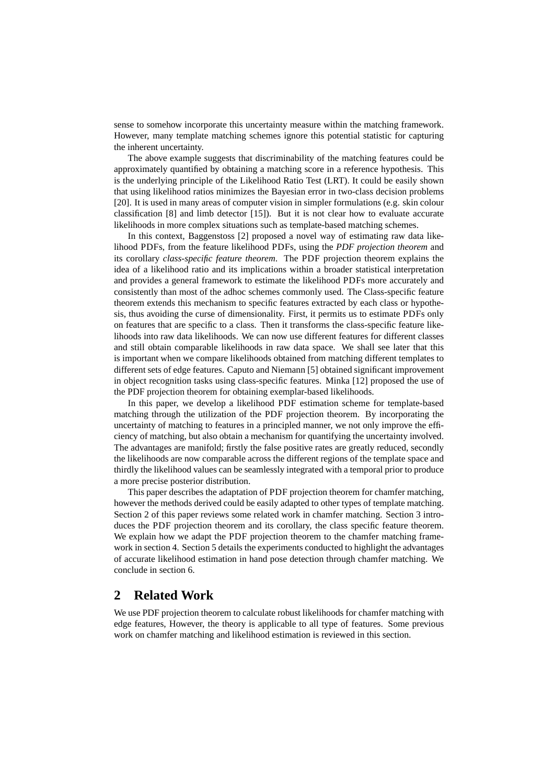sense to somehow incorporate this uncertainty measure within the matching framework. However, many template matching schemes ignore this potential statistic for capturing the inherent uncertainty.

The above example suggests that discriminability of the matching features could be approximately quantified by obtaining a matching score in a reference hypothesis. This is the underlying principle of the Likelihood Ratio Test (LRT). It could be easily shown that using likelihood ratios minimizes the Bayesian error in two-class decision problems [20]. It is used in many areas of computer vision in simpler formulations (e.g. skin colour classification  $[8]$  and limb detector  $[15]$ ). But it is not clear how to evaluate accurate likelihoods in more complex situations such as template-based matching schemes.

In this context, Baggenstoss [2] proposed a novel way of estimating raw data likelihood PDFs, from the feature likelihood PDFs, using the *PDF projection theorem* and its corollary *class-specific feature theorem*. The PDF projection theorem explains the idea of a likelihood ratio and its implications within a broader statistical interpretation and provides a general framework to estimate the likelihood PDFs more accurately and consistently than most of the adhoc schemes commonly used. The Class-specific feature theorem extends this mechanism to specific features extracted by each class or hypothesis, thus avoiding the curse of dimensionality. First, it permits us to estimate PDFs only on features that are specific to a class. Then it transforms the class-specific feature likelihoods into raw data likelihoods. We can now use different features for different classes and still obtain comparable likelihoods in raw data space. We shall see later that this is important when we compare likelihoods obtained from matching different templates to different sets of edge features. Caputo and Niemann [5] obtained significant improvement in object recognition tasks using class-specific features. Minka [12] proposed the use of the PDF projection theorem for obtaining exemplar-based likelihoods.

In this paper, we develop a likelihood PDF estimation scheme for template-based matching through the utilization of the PDF projection theorem. By incorporating the uncertainty of matching to features in a principled manner, we not only improve the efficiency of matching, but also obtain a mechanism for quantifying the uncertainty involved. The advantages are manifold; firstly the false positive rates are greatly reduced, secondly the likelihoods are now comparable across the different regions of the template space and thirdly the likelihood values can be seamlessly integrated with a temporal prior to produce a more precise posterior distribution.

This paper describes the adaptation of PDF projection theorem for chamfer matching, however the methods derived could be easily adapted to other types of template matching. Section 2 of this paper reviews some related work in chamfer matching. Section 3 introduces the PDF projection theorem and its corollary, the class specific feature theorem. We explain how we adapt the PDF projection theorem to the chamfer matching framework in section 4. Section 5 details the experiments conducted to highlight the advantages of accurate likelihood estimation in hand pose detection through chamfer matching. We conclude in section 6.

# **2 Related Work**

We use PDF projection theorem to calculate robust likelihoods for chamfer matching with edge features, However, the theory is applicable to all type of features. Some previous work on chamfer matching and likelihood estimation is reviewed in this section.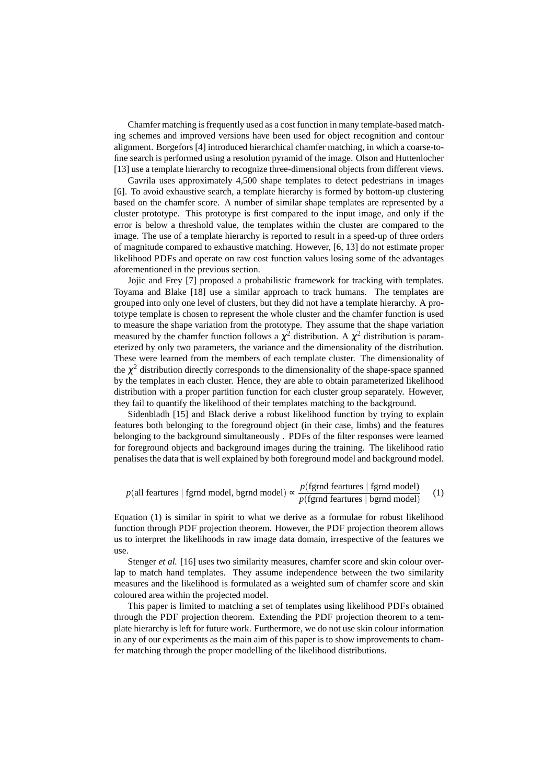Chamfer matching is frequently used as a cost function in many template-based matching schemes and improved versions have been used for object recognition and contour alignment. Borgefors [4] introduced hierarchical chamfer matching, in which a coarse-tofine search is performed using a resolution pyramid of the image. Olson and Huttenlocher [13] use a template hierarchy to recognize three-dimensional objects from different views.

Gavrila uses approximately 4,500 shape templates to detect pedestrians in images [6]. To avoid exhaustive search, a template hierarchy is formed by bottom-up clustering based on the chamfer score. A number of similar shape templates are represented by a cluster prototype. This prototype is first compared to the input image, and only if the error is below a threshold value, the templates within the cluster are compared to the image. The use of a template hierarchy is reported to result in a speed-up of three orders of magnitude compared to exhaustive matching. However, [6, 13] do not estimate proper likelihood PDFs and operate on raw cost function values losing some of the advantages aforementioned in the previous section.

Jojic and Frey [7] proposed a probabilistic framework for tracking with templates. Toyama and Blake [18] use a similar approach to track humans. The templates are grouped into only one level of clusters, but they did not have a template hierarchy. A prototype template is chosen to represent the whole cluster and the chamfer function is used to measure the shape variation from the prototype. They assume that the shape variation measured by the chamfer function follows a  $\chi^2$  distribution. A  $\chi^2$  distribution is parameterized by only two parameters, the variance and the dimensionality of the distribution. These were learned from the members of each template cluster. The dimensionality of the  $\chi^2$  distribution directly corresponds to the dimensionality of the shape-space spanned by the templates in each cluster. Hence, they are able to obtain parameterized likelihood distribution with a proper partition function for each cluster group separately. However, they fail to quantify the likelihood of their templates matching to the background.

Sidenbladh [15] and Black derive a robust likelihood function by trying to explain features both belonging to the foreground object (in their case, limbs) and the features belonging to the background simultaneously . PDFs of the filter responses were learned for foreground objects and background images during the training. The likelihood ratio penalises the data that is well explained by both foreground model and background model.

$$
p(\text{all features} \mid \text{fgrnd model}, \text{bgrnd model}) \propto \frac{p(\text{fgrnd features} \mid \text{fgrnd model})}{p(\text{fgrnd features} \mid \text{bgrnd model})}
$$
 (1)

Equation (1) is similar in spirit to what we derive as a formulae for robust likelihood function through PDF projection theorem. However, the PDF projection theorem allows us to interpret the likelihoods in raw image data domain, irrespective of the features we use.

Stenger *et al.* [16] uses two similarity measures, chamfer score and skin colour overlap to match hand templates. They assume independence between the two similarity measures and the likelihood is formulated as a weighted sum of chamfer score and skin coloured area within the projected model.

This paper is limited to matching a set of templates using likelihood PDFs obtained through the PDF projection theorem. Extending the PDF projection theorem to a template hierarchy is left for future work. Furthermore, we do not use skin colour information in any of our experiments as the main aim of this paper is to show improvements to chamfer matching through the proper modelling of the likelihood distributions.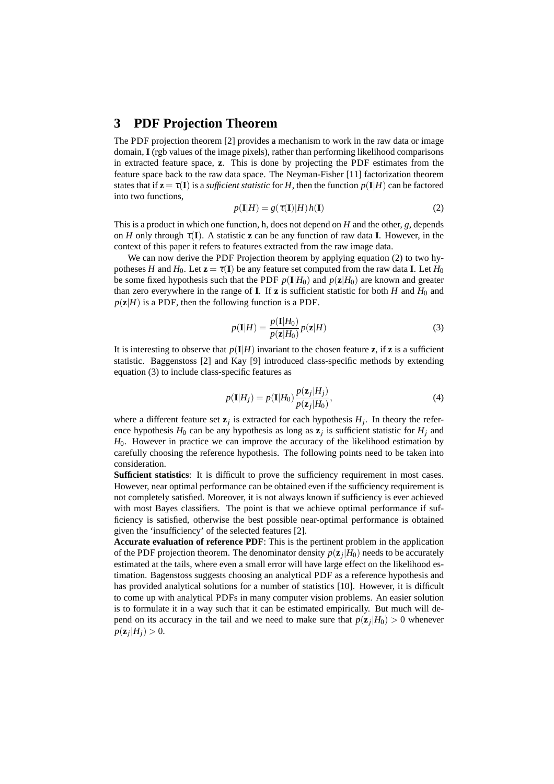### **3 PDF Projection Theorem**

The PDF projection theorem [2] provides a mechanism to work in the raw data or image domain, **I** (rgb values of the image pixels), rather than performing likelihood comparisons in extracted feature space, **z**. This is done by projecting the PDF estimates from the feature space back to the raw data space. The Neyman-Fisher [11] factorization theorem states that if  $z = \tau(I)$  is a *sufficient statistic* for *H*, then the function  $p(I|H)$  can be factored into two functions,

$$
p(\mathbf{I}|H) = g(\tau(\mathbf{I})|H)h(\mathbf{I})
$$
\n(2)

This is a product in which one function, h, does not depend on *H* and the other, *g*, depends on *H* only through  $\tau(I)$ . A statistic **z** can be any function of raw data **I**. However, in the context of this paper it refers to features extracted from the raw image data.

We can now derive the PDF Projection theorem by applying equation (2) to two hypotheses *H* and *H*<sub>0</sub>. Let  $z = \tau(I)$  be any feature set computed from the raw data **I**. Let *H*<sub>0</sub> be some fixed hypothesis such that the PDF  $p(\mathbf{I}|H_0)$  and  $p(\mathbf{z}|H_0)$  are known and greater than zero everywhere in the range of **I**. If **z** is sufficient statistic for both *H* and  $H_0$  and  $p(\mathbf{z}|H)$  is a PDF, then the following function is a PDF.

$$
p(\mathbf{I}|H) = \frac{p(\mathbf{I}|H_0)}{p(\mathbf{z}|H_0)} p(\mathbf{z}|H)
$$
\n(3)

It is interesting to observe that  $p(I|H)$  invariant to the chosen feature **z**, if **z** is a sufficient statistic. Baggenstoss [2] and Kay [9] introduced class-specific methods by extending equation (3) to include class-specific features as

$$
p(\mathbf{I}|H_j) = p(\mathbf{I}|H_0) \frac{p(\mathbf{z}_j|H_j)}{p(\mathbf{z}_j|H_0)},
$$
\n(4)

where a different feature set  $z_j$  is extracted for each hypothesis  $H_j$ . In theory the reference hypothesis  $H_0$  can be any hypothesis as long as  $z_j$  is sufficient statistic for  $H_j$  and *H*0. However in practice we can improve the accuracy of the likelihood estimation by carefully choosing the reference hypothesis. The following points need to be taken into consideration.

**Sufficient statistics**: It is difficult to prove the sufficiency requirement in most cases. However, near optimal performance can be obtained even if the sufficiency requirement is not completely satisfied. Moreover, it is not always known if sufficiency is ever achieved with most Bayes classifiers. The point is that we achieve optimal performance if sufficiency is satisfied, otherwise the best possible near-optimal performance is obtained given the 'insufficiency' of the selected features [2].

**Accurate evaluation of reference PDF**: This is the pertinent problem in the application of the PDF projection theorem. The denominator density  $p(\mathbf{z}_j|H_0)$  needs to be accurately estimated at the tails, where even a small error will have large effect on the likelihood estimation. Bagenstoss suggests choosing an analytical PDF as a reference hypothesis and has provided analytical solutions for a number of statistics [10]. However, it is difficult to come up with analytical PDFs in many computer vision problems. An easier solution is to formulate it in a way such that it can be estimated empirically. But much will depend on its accuracy in the tail and we need to make sure that  $p(\mathbf{z}_j|H_0) > 0$  whenever  $p(\mathbf{z}_j|H_j) > 0.$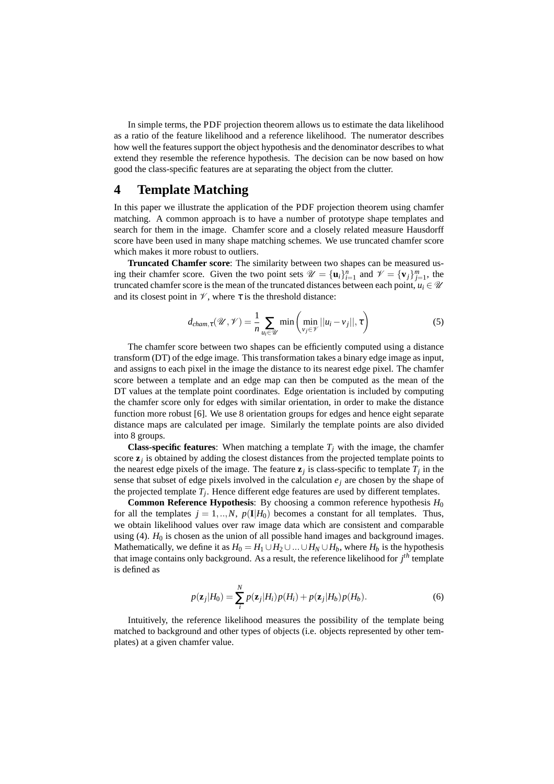In simple terms, the PDF projection theorem allows us to estimate the data likelihood as a ratio of the feature likelihood and a reference likelihood. The numerator describes how well the features support the object hypothesis and the denominator describes to what extend they resemble the reference hypothesis. The decision can be now based on how good the class-specific features are at separating the object from the clutter.

### **4 Template Matching**

In this paper we illustrate the application of the PDF projection theorem using chamfer matching. A common approach is to have a number of prototype shape templates and search for them in the image. Chamfer score and a closely related measure Hausdorff score have been used in many shape matching schemes. We use truncated chamfer score which makes it more robust to outliers.

**Truncated Chamfer score**: The similarity between two shapes can be measured using their chamfer score. Given the two point sets  $\mathcal{U} = {\mathbf{u}_i}_{i=1}^n$  and  $\mathcal{V} = {\mathbf{v}_j}_{j=1}^m$ , the truncated chamfer score is the mean of the truncated distances between each point,  $u_i \in \mathcal{U}$ and its closest point in  $\mathcal V$ , where  $\tau$  is the threshold distance:

$$
d_{\text{cham},\tau}(\mathcal{U},\mathcal{V}) = \frac{1}{n} \sum_{u_i \in \mathcal{U}} \min\left(\min_{v_j \in \mathcal{V}} ||u_i - v_j||, \tau\right)
$$
(5)

The chamfer score between two shapes can be efficiently computed using a distance transform (DT) of the edge image. This transformation takes a binary edge image as input, and assigns to each pixel in the image the distance to its nearest edge pixel. The chamfer score between a template and an edge map can then be computed as the mean of the DT values at the template point coordinates. Edge orientation is included by computing the chamfer score only for edges with similar orientation, in order to make the distance function more robust [6]. We use 8 orientation groups for edges and hence eight separate distance maps are calculated per image. Similarly the template points are also divided into 8 groups.

**Class-specific features:** When matching a template  $T_j$  with the image, the chamfer score  $z_j$  is obtained by adding the closest distances from the projected template points to the nearest edge pixels of the image. The feature  $z_j$  is class-specific to template  $T_j$  in the sense that subset of edge pixels involved in the calculation  $e_i$  are chosen by the shape of the projected template  $T_j$ . Hence different edge features are used by different templates.

**Common Reference Hypothesis**: By choosing a common reference hypothesis *H*<sup>0</sup> for all the templates  $j = 1,..,N$ ,  $p(\mathbf{I}|H_0)$  becomes a constant for all templates. Thus, we obtain likelihood values over raw image data which are consistent and comparable using  $(4)$ .  $H_0$  is chosen as the union of all possible hand images and background images. Mathematically, we define it as  $H_0 = H_1 \cup H_2 \cup ... \cup H_N \cup H_b$ , where  $H_b$  is the hypothesis that image contains only background. As a result, the reference likelihood for *j th* template is defined as

$$
p(\mathbf{z}_j|H_0) = \sum_{i}^{N} p(\mathbf{z}_j|H_i) p(H_i) + p(\mathbf{z}_j|H_b) p(H_b).
$$
 (6)

Intuitively, the reference likelihood measures the possibility of the template being matched to background and other types of objects (i.e. objects represented by other templates) at a given chamfer value.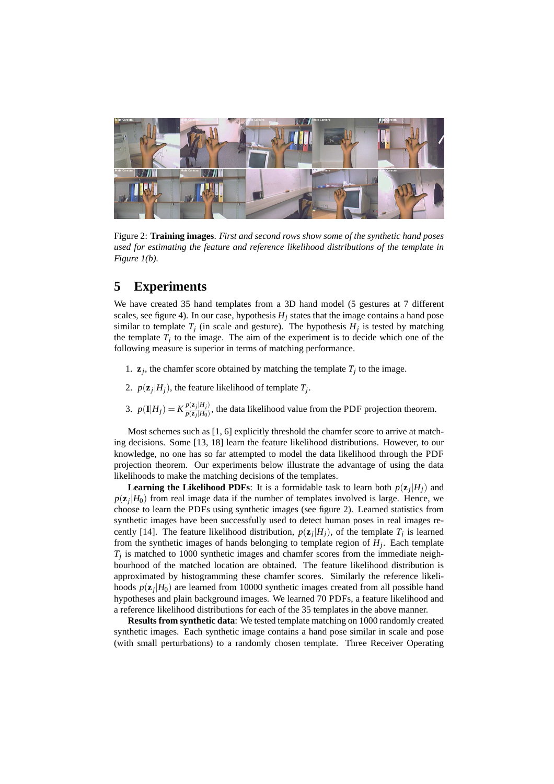

Figure 2: **Training images**. *First and second rows show some of the synthetic hand poses used for estimating the feature and reference likelihood distributions of the template in Figure 1(b).*

# **5 Experiments**

We have created 35 hand templates from a 3D hand model (5 gestures at 7 different scales, see figure 4). In our case, hypothesis  $H_i$  states that the image contains a hand pose similar to template  $T_j$  (in scale and gesture). The hypothesis  $H_j$  is tested by matching the template  $T_j$  to the image. The aim of the experiment is to decide which one of the following measure is superior in terms of matching performance.

- 1.  $\mathbf{z}_j$ , the chamfer score obtained by matching the template  $T_j$  to the image.
- 2.  $p(\mathbf{z}_j|H_j)$ , the feature likelihood of template  $T_j$ .
- 3.  $p(\mathbf{I}|H_j) = K \frac{p(\mathbf{z}_j|H_j)}{p(\mathbf{z}_j|H_0)}$  $\frac{p(\mathbf{z}_j|H_j)}{p(\mathbf{z}_j|H_0)}$ , the data likelihood value from the PDF projection theorem.

Most schemes such as [1, 6] explicitly threshold the chamfer score to arrive at matching decisions. Some [13, 18] learn the feature likelihood distributions. However, to our knowledge, no one has so far attempted to model the data likelihood through the PDF projection theorem. Our experiments below illustrate the advantage of using the data likelihoods to make the matching decisions of the templates.

**Learning the Likelihood PDFs**: It is a formidable task to learn both  $p(\mathbf{z}_j|H_j)$  and  $p(\mathbf{z}_j|H_0)$  from real image data if the number of templates involved is large. Hence, we choose to learn the PDFs using synthetic images (see figure 2). Learned statistics from synthetic images have been successfully used to detect human poses in real images recently [14]. The feature likelihood distribution,  $p(\mathbf{z}_j|H_j)$ , of the template  $T_j$  is learned from the synthetic images of hands belonging to template region of *H<sup>j</sup>* . Each template  $T_j$  is matched to 1000 synthetic images and chamfer scores from the immediate neighbourhood of the matched location are obtained. The feature likelihood distribution is approximated by histogramming these chamfer scores. Similarly the reference likelihoods  $p(\mathbf{z}_j|H_0)$  are learned from 10000 synthetic images created from all possible hand hypotheses and plain background images. We learned 70 PDFs, a feature likelihood and a reference likelihood distributions for each of the 35 templates in the above manner.

**Results from synthetic data**: We tested template matching on 1000 randomly created synthetic images. Each synthetic image contains a hand pose similar in scale and pose (with small perturbations) to a randomly chosen template. Three Receiver Operating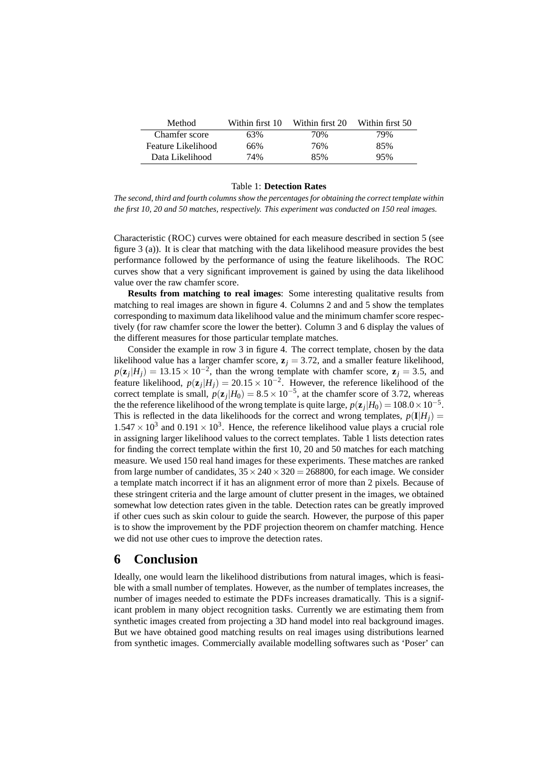| Method             | Within first 10 | Within first 20 | Within first 50 |
|--------------------|-----------------|-----------------|-----------------|
| Chamfer score      | 63%             | 70%             | 79%             |
| Feature Likelihood | 66%             | 76%             | 85%             |
| Data Likelihood    | 74%             | 85%             | 95%             |

#### Table 1: **Detection Rates**

*The second, third and fourth columns show the percentages for obtaining the correct template within the first 10, 20 and 50 matches, respectively. This experiment was conducted on 150 real images.*

Characteristic (ROC) curves were obtained for each measure described in section 5 (see figure 3 (a)). It is clear that matching with the data likelihood measure provides the best performance followed by the performance of using the feature likelihoods. The ROC curves show that a very significant improvement is gained by using the data likelihood value over the raw chamfer score.

**Results from matching to real images**: Some interesting qualitative results from matching to real images are shown in figure 4. Columns 2 and and 5 show the templates corresponding to maximum data likelihood value and the minimum chamfer score respectively (for raw chamfer score the lower the better). Column 3 and 6 display the values of the different measures for those particular template matches.

Consider the example in row 3 in figure 4. The correct template, chosen by the data likelihood value has a larger chamfer score,  $\mathbf{z}_i = 3.72$ , and a smaller feature likelihood,  $p(\mathbf{z}_j|H_j) = 13.15 \times 10^{-2}$ , than the wrong template with chamfer score,  $\mathbf{z}_j = 3.5$ , and feature likelihood,  $p(\mathbf{z}_j|H_j) = 20.15 \times 10^{-2}$ . However, the reference likelihood of the correct template is small,  $p(\mathbf{z}_j|H_0) = 8.5 \times 10^{-5}$ , at the chamfer score of 3.72, whereas the the reference likelihood of the wrong template is quite large,  $p(\mathbf{z}_j|H_0) = 108.0 \times 10^{-5}$ . This is reflected in the data likelihoods for the correct and wrong templates,  $p(\mathbf{I}|H_i)$  $1.547 \times 10^3$  and  $0.191 \times 10^3$ . Hence, the reference likelihood value plays a crucial role in assigning larger likelihood values to the correct templates. Table 1 lists detection rates for finding the correct template within the first 10, 20 and 50 matches for each matching measure. We used 150 real hand images for these experiments. These matches are ranked from large number of candidates,  $35 \times 240 \times 320 = 268800$ , for each image. We consider a template match incorrect if it has an alignment error of more than 2 pixels. Because of these stringent criteria and the large amount of clutter present in the images, we obtained somewhat low detection rates given in the table. Detection rates can be greatly improved if other cues such as skin colour to guide the search. However, the purpose of this paper is to show the improvement by the PDF projection theorem on chamfer matching. Hence we did not use other cues to improve the detection rates.

### **6 Conclusion**

Ideally, one would learn the likelihood distributions from natural images, which is feasible with a small number of templates. However, as the number of templates increases, the number of images needed to estimate the PDFs increases dramatically. This is a significant problem in many object recognition tasks. Currently we are estimating them from synthetic images created from projecting a 3D hand model into real background images. But we have obtained good matching results on real images using distributions learned from synthetic images. Commercially available modelling softwares such as 'Poser' can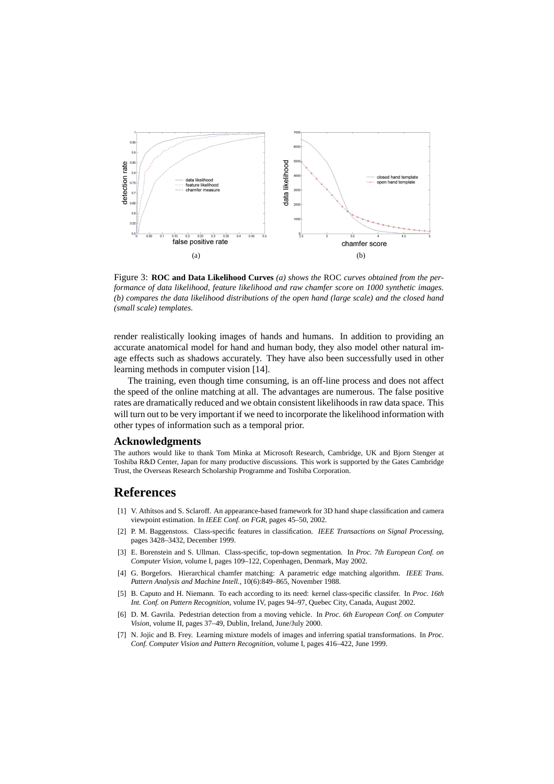

Figure 3: **ROC and Data Likelihood Curves** *(a) shows the* ROC *curves obtained from the performance of data likelihood, feature likelihood and raw chamfer score on 1000 synthetic images. (b) compares the data likelihood distributions of the open hand (large scale) and the closed hand (small scale) templates.*

render realistically looking images of hands and humans. In addition to providing an accurate anatomical model for hand and human body, they also model other natural image effects such as shadows accurately. They have also been successfully used in other learning methods in computer vision [14].

The training, even though time consuming, is an off-line process and does not affect the speed of the online matching at all. The advantages are numerous. The false positive rates are dramatically reduced and we obtain consistent likelihoods in raw data space. This will turn out to be very important if we need to incorporate the likelihood information with other types of information such as a temporal prior.

#### **Acknowledgments**

The authors would like to thank Tom Minka at Microsoft Research, Cambridge, UK and Bjorn Stenger at Toshiba R&D Center, Japan for many productive discussions. This work is supported by the Gates Cambridge Trust, the Overseas Research Scholarship Programme and Toshiba Corporation.

#### **References**

- [1] V. Athitsos and S. Sclaroff. An appearance-based framework for 3D hand shape classification and camera viewpoint estimation. In *IEEE Conf. on FGR*, pages 45–50, 2002.
- [2] P. M. Baggenstoss. Class-specific features in classification. *IEEE Transactions on Signal Processing*, pages 3428–3432, December 1999.
- [3] E. Borenstein and S. Ullman. Class-specific, top-down segmentation. In *Proc. 7th European Conf. on Computer Vision*, volume I, pages 109–122, Copenhagen, Denmark, May 2002.
- [4] G. Borgefors. Hierarchical chamfer matching: A parametric edge matching algorithm. *IEEE Trans. Pattern Analysis and Machine Intell.*, 10(6):849–865, November 1988.
- [5] B. Caputo and H. Niemann. To each according to its need: kernel class-specific classifer. In *Proc. 16th Int. Conf. on Pattern Recognition*, volume IV, pages 94–97, Quebec City, Canada, August 2002.
- [6] D. M. Gavrila. Pedestrian detection from a moving vehicle. In *Proc. 6th European Conf. on Computer Vision*, volume II, pages 37–49, Dublin, Ireland, June/July 2000.
- [7] N. Jojic and B. Frey. Learning mixture models of images and inferring spatial transformations. In *Proc. Conf. Computer Vision and Pattern Recognition*, volume I, pages 416–422, June 1999.